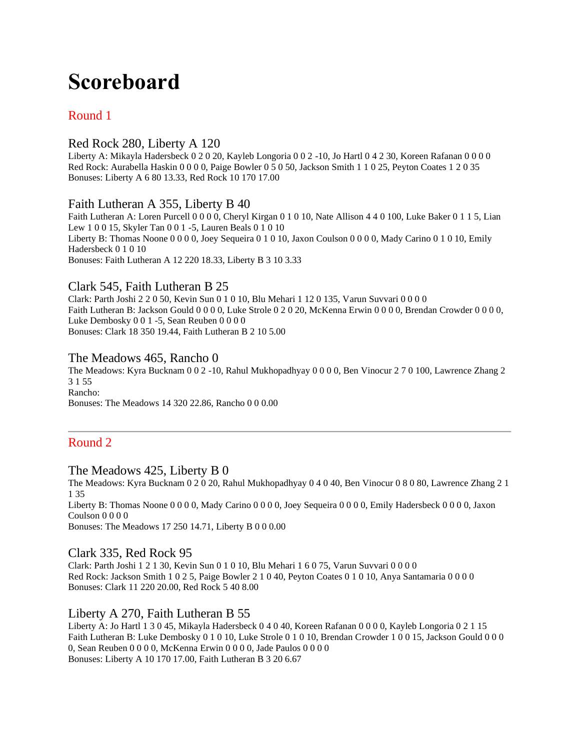# **Scoreboard**

## Round 1

## Red Rock 280, Liberty A 120

Liberty A: Mikayla Hadersbeck 0 2 0 20, Kayleb Longoria 0 0 2 -10, Jo Hartl 0 4 2 30, Koreen Rafanan 0 0 0 0 Red Rock: Aurabella Haskin 0 0 0 0, Paige Bowler 0 5 0 50, Jackson Smith 1 1 0 25, Peyton Coates 1 2 0 35 Bonuses: Liberty A 6 80 13.33, Red Rock 10 170 17.00

## Faith Lutheran A 355, Liberty B 40

Faith Lutheran A: Loren Purcell 0 0 0 0, Cheryl Kirgan 0 1 0 10, Nate Allison 4 4 0 100, Luke Baker 0 1 1 5, Lian Lew 1 0 0 15, Skyler Tan 0 0 1 -5, Lauren Beals 0 1 0 10 Liberty B: Thomas Noone 0 0 0 0, Joey Sequeira 0 1 0 10, Jaxon Coulson 0 0 0 0, Mady Carino 0 1 0 10, Emily Hadersbeck 0 1 0 10 Bonuses: Faith Lutheran A 12 220 18.33, Liberty B 3 10 3.33

## Clark 545, Faith Lutheran B 25

Clark: Parth Joshi 2 2 0 50, Kevin Sun 0 1 0 10, Blu Mehari 1 12 0 135, Varun Suvvari 0 0 0 0 Faith Lutheran B: Jackson Gould 0 0 0 0, Luke Strole 0 2 0 20, McKenna Erwin 0 0 0 0, Brendan Crowder 0 0 0 0, Luke Dembosky 0 0 1 -5, Sean Reuben 0 0 0 0 Bonuses: Clark 18 350 19.44, Faith Lutheran B 2 10 5.00

## The Meadows 465, Rancho 0

The Meadows: Kyra Bucknam 0 0 2 -10, Rahul Mukhopadhyay 0 0 0 0, Ben Vinocur 2 7 0 100, Lawrence Zhang 2 3 1 55 Rancho:

Bonuses: The Meadows 14 320 22.86, Rancho 0 0 0.00

## Round 2

## The Meadows 425, Liberty B 0

The Meadows: Kyra Bucknam 0 2 0 20, Rahul Mukhopadhyay 0 4 0 40, Ben Vinocur 0 8 0 80, Lawrence Zhang 2 1 1 35 Liberty B: Thomas Noone 0 0 0 0, Mady Carino 0 0 0 0, Joey Sequeira 0 0 0 0, Emily Hadersbeck 0 0 0 0, Jaxon

Coulson 0 0 0 0

Bonuses: The Meadows 17 250 14.71, Liberty B 0 0 0.00

## Clark 335, Red Rock 95

Clark: Parth Joshi 1 2 1 30, Kevin Sun 0 1 0 10, Blu Mehari 1 6 0 75, Varun Suvvari 0 0 0 0 Red Rock: Jackson Smith 1 0 2 5, Paige Bowler 2 1 0 40, Peyton Coates 0 1 0 10, Anya Santamaria 0 0 0 0 Bonuses: Clark 11 220 20.00, Red Rock 5 40 8.00

## Liberty A 270, Faith Lutheran B 55

Liberty A: Jo Hartl 1 3 0 45, Mikayla Hadersbeck 0 4 0 40, Koreen Rafanan 0 0 0 0, Kayleb Longoria 0 2 1 15 Faith Lutheran B: Luke Dembosky 0 1 0 10, Luke Strole 0 1 0 10, Brendan Crowder 1 0 0 15, Jackson Gould 0 0 0 0, Sean Reuben 0 0 0 0, McKenna Erwin 0 0 0 0, Jade Paulos 0 0 0 0 Bonuses: Liberty A 10 170 17.00, Faith Lutheran B 3 20 6.67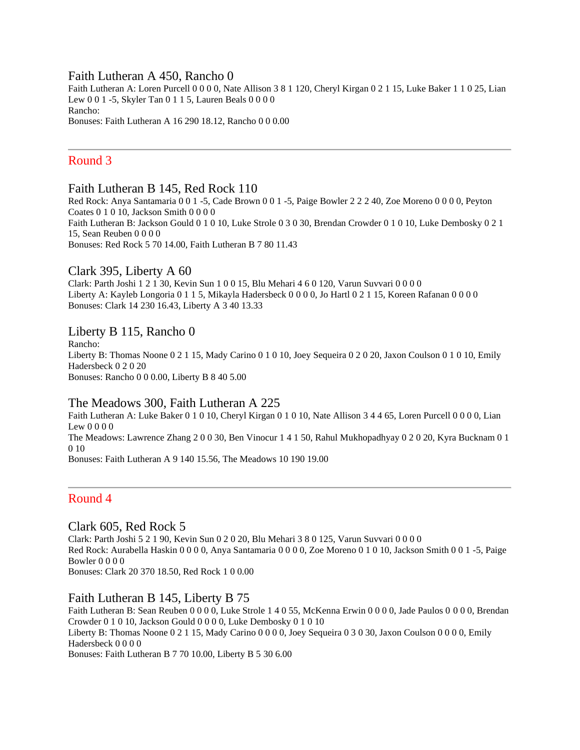#### Faith Lutheran A 450, Rancho 0

Faith Lutheran A: Loren Purcell 0 0 0 0, Nate Allison 3 8 1 120, Cheryl Kirgan 0 2 1 15, Luke Baker 1 1 0 25, Lian Lew 0 0 1 -5, Skyler Tan 0 1 1 5, Lauren Beals 0 0 0 0 Rancho: Bonuses: Faith Lutheran A 16 290 18.12, Rancho 0 0 0.00

## Round 3

#### Faith Lutheran B 145, Red Rock 110

Red Rock: Anya Santamaria 0 0 1 -5, Cade Brown 0 0 1 -5, Paige Bowler 2 2 2 40, Zoe Moreno 0 0 0 0, Peyton Coates 0 1 0 10, Jackson Smith 0 0 0 0 Faith Lutheran B: Jackson Gould 0 1 0 10, Luke Strole 0 3 0 30, Brendan Crowder 0 1 0 10, Luke Dembosky 0 2 1 15, Sean Reuben 0 0 0 0 Bonuses: Red Rock 5 70 14.00, Faith Lutheran B 7 80 11.43

## Clark 395, Liberty A 60

Clark: Parth Joshi 1 2 1 30, Kevin Sun 1 0 0 15, Blu Mehari 4 6 0 120, Varun Suvvari 0 0 0 0 Liberty A: Kayleb Longoria 0 1 1 5, Mikayla Hadersbeck 0 0 0 0, Jo Hartl 0 2 1 15, Koreen Rafanan 0 0 0 0 Bonuses: Clark 14 230 16.43, Liberty A 3 40 13.33

#### Liberty B 115, Rancho 0

Rancho: Liberty B: Thomas Noone 0 2 1 15, Mady Carino 0 1 0 10, Joey Sequeira 0 2 0 20, Jaxon Coulson 0 1 0 10, Emily Hadersbeck 0 2 0 20 Bonuses: Rancho 0 0 0.00, Liberty B 8 40 5.00

#### The Meadows 300, Faith Lutheran A 225

Faith Lutheran A: Luke Baker 0 1 0 10, Cheryl Kirgan 0 1 0 10, Nate Allison 3 4 4 65, Loren Purcell 0 0 0 0, Lian Lew 0 0 0 0 The Meadows: Lawrence Zhang 2 0 0 30, Ben Vinocur 1 4 1 50, Rahul Mukhopadhyay 0 2 0 20, Kyra Bucknam 0 1 0 10 Bonuses: Faith Lutheran A 9 140 15.56, The Meadows 10 190 19.00

## Round 4

## Clark 605, Red Rock 5

Clark: Parth Joshi 5 2 1 90, Kevin Sun 0 2 0 20, Blu Mehari 3 8 0 125, Varun Suvvari 0 0 0 0 Red Rock: Aurabella Haskin 0 0 0 0, Anya Santamaria 0 0 0 0, Zoe Moreno 0 1 0 10, Jackson Smith 0 0 1 -5, Paige Bowler 0 0 0 0

Bonuses: Clark 20 370 18.50, Red Rock 1 0 0.00

## Faith Lutheran B 145, Liberty B 75

Faith Lutheran B: Sean Reuben 0 0 0 0, Luke Strole 1 4 0 55, McKenna Erwin 0 0 0 0, Jade Paulos 0 0 0 0, Brendan Crowder 0 1 0 10, Jackson Gould 0 0 0 0, Luke Dembosky 0 1 0 10 Liberty B: Thomas Noone 0 2 1 15, Mady Carino 0 0 0 0, Joey Sequeira 0 3 0 30, Jaxon Coulson 0 0 0 0, Emily Hadersbeck 0 0 0 0 Bonuses: Faith Lutheran B 7 70 10.00, Liberty B 5 30 6.00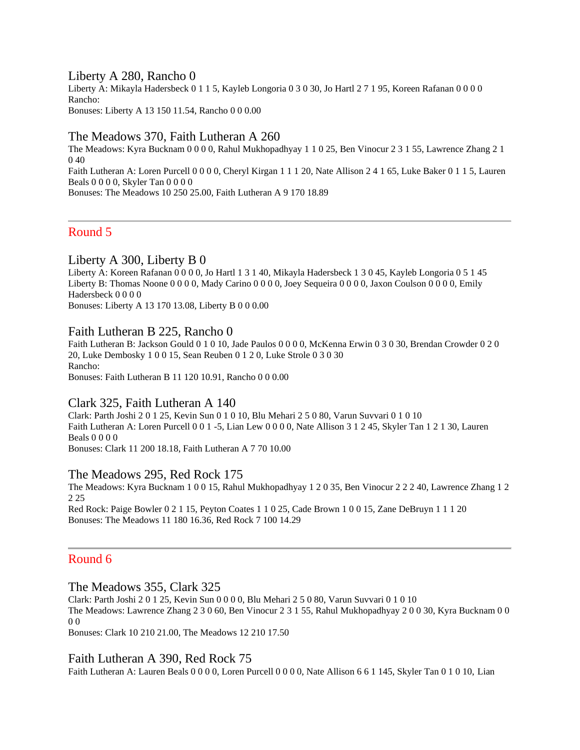#### Liberty A 280, Rancho 0

Liberty A: Mikayla Hadersbeck 0 1 1 5, Kayleb Longoria 0 3 0 30, Jo Hartl 2 7 1 95, Koreen Rafanan 0 0 0 0 Rancho: Bonuses: Liberty A 13 150 11.54, Rancho 0 0 0.00

#### The Meadows 370, Faith Lutheran A 260

The Meadows: Kyra Bucknam 0 0 0 0, Rahul Mukhopadhyay 1 1 0 25, Ben Vinocur 2 3 1 55, Lawrence Zhang 2 1 0 40 Faith Lutheran A: Loren Purcell 0 0 0 0, Cheryl Kirgan 1 1 1 20, Nate Allison 2 4 1 65, Luke Baker 0 1 1 5, Lauren Beals 0 0 0 0, Skyler Tan 0 0 0 0 Bonuses: The Meadows 10 250 25.00, Faith Lutheran A 9 170 18.89

Round 5

#### Liberty A 300, Liberty B 0

Liberty A: Koreen Rafanan 0 0 0 0, Jo Hartl 1 3 1 40, Mikayla Hadersbeck 1 3 0 45, Kayleb Longoria 0 5 1 45 Liberty B: Thomas Noone 0 0 0 0, Mady Carino 0 0 0 0, Joey Sequeira 0 0 0 0, Jaxon Coulson 0 0 0 0, Emily Hadersbeck 0 0 0 0

Bonuses: Liberty A 13 170 13.08, Liberty B 0 0 0.00

#### Faith Lutheran B 225, Rancho 0

Faith Lutheran B: Jackson Gould 0 1 0 10, Jade Paulos 0 0 0 0, McKenna Erwin 0 3 0 30, Brendan Crowder 0 2 0 20, Luke Dembosky 1 0 0 15, Sean Reuben 0 1 2 0, Luke Strole 0 3 0 30 Rancho: Bonuses: Faith Lutheran B 11 120 10.91, Rancho 0 0 0.00

#### Clark 325, Faith Lutheran A 140

Clark: Parth Joshi 2 0 1 25, Kevin Sun 0 1 0 10, Blu Mehari 2 5 0 80, Varun Suvvari 0 1 0 10 Faith Lutheran A: Loren Purcell 0 0 1 -5, Lian Lew 0 0 0 0, Nate Allison 3 1 2 45, Skyler Tan 1 2 1 30, Lauren Beals 0 0 0 0

Bonuses: Clark 11 200 18.18, Faith Lutheran A 7 70 10.00

#### The Meadows 295, Red Rock 175

The Meadows: Kyra Bucknam 1 0 0 15, Rahul Mukhopadhyay 1 2 0 35, Ben Vinocur 2 2 2 40, Lawrence Zhang 1 2 2 25

Red Rock: Paige Bowler 0 2 1 15, Peyton Coates 1 1 0 25, Cade Brown 1 0 0 15, Zane DeBruyn 1 1 1 20 Bonuses: The Meadows 11 180 16.36, Red Rock 7 100 14.29

## Round 6

#### The Meadows 355, Clark 325

Clark: Parth Joshi 2 0 1 25, Kevin Sun 0 0 0 0, Blu Mehari 2 5 0 80, Varun Suvvari 0 1 0 10 The Meadows: Lawrence Zhang 2 3 0 60, Ben Vinocur 2 3 1 55, Rahul Mukhopadhyay 2 0 0 30, Kyra Bucknam 0 0 0 0

Bonuses: Clark 10 210 21.00, The Meadows 12 210 17.50

#### Faith Lutheran A 390, Red Rock 75

Faith Lutheran A: Lauren Beals 0 0 0 0, Loren Purcell 0 0 0 0, Nate Allison 6 6 1 145, Skyler Tan 0 1 0 10, Lian